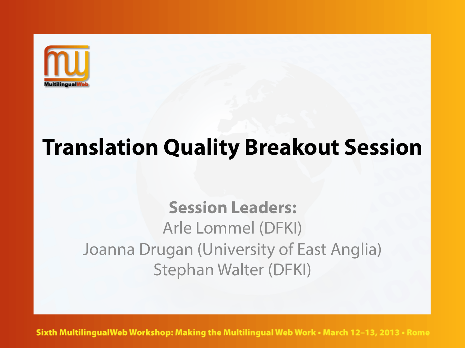

## **Translation Quality Breakout Session**

## **Session Leaders:**  Arle Lommel (DFKI) Joanna Drugan (University of East Anglia) Stephan Walter (DFKI)

Sixth MultilingualWeb Workshop: Making the Multilingual Web Work • March 12-13, 2013 • Rome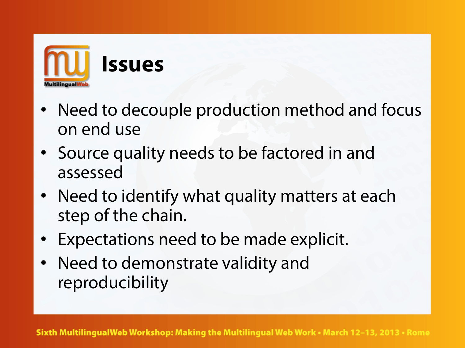

- Need to decouple production method and focus on end use
- Source quality needs to be factored in and assessed
- Need to identify what quality matters at each step of the chain.
- Expectations need to be made explicit.
- Need to demonstrate validity and reproducibility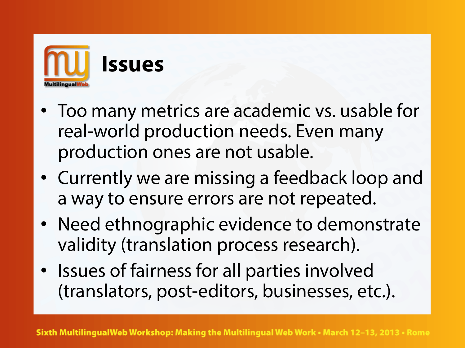

- Too many metrics are academic vs. usable for real-world production needs. Even many production ones are not usable.
- Currently we are missing a feedback loop and a way to ensure errors are not repeated.
- Need ethnographic evidence to demonstrate validity (translation process research).
- Issues of fairness for all parties involved (translators, post-editors, businesses, etc.).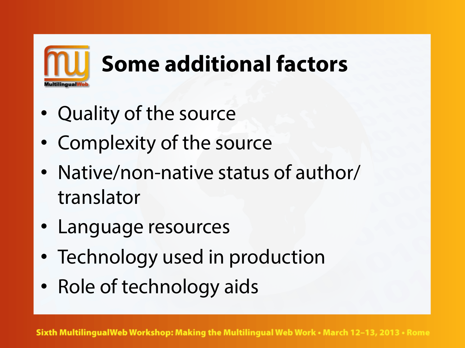

- Quality of the source
- Complexity of the source
- Native/non-native status of author/ translator
- Language resources
- Technology used in production
- Role of technology aids